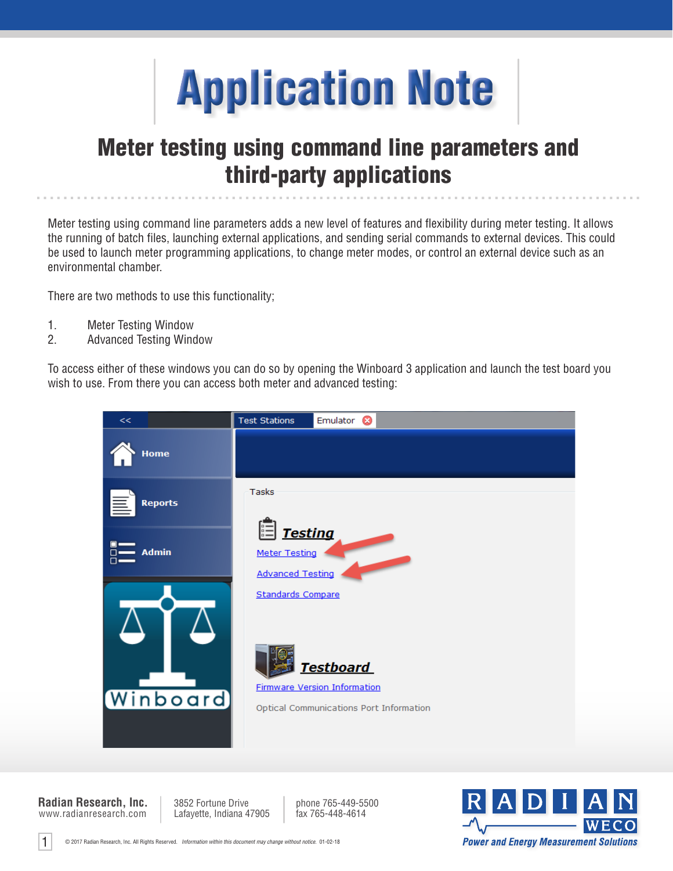

# Meter testing using command line parameters and third-party applications

Meter testing using command line parameters adds a new level of features and flexibility during meter testing. It allows the running of batch files, launching external applications, and sending serial commands to external devices. This could be used to launch meter programming applications, to change meter modes, or control an external device such as an environmental chamber.

There are two methods to use this functionality;

- 1. Meter Testing Window
- 2. Advanced Testing Window

To access either of these windows you can do so by opening the Winboard 3 application and launch the test board you wish to use. From there you can access both meter and advanced testing:



www.radianresearch.com **Radian Research, Inc.**

1

3852 Fortune Drive Lafayette, Indiana 47905

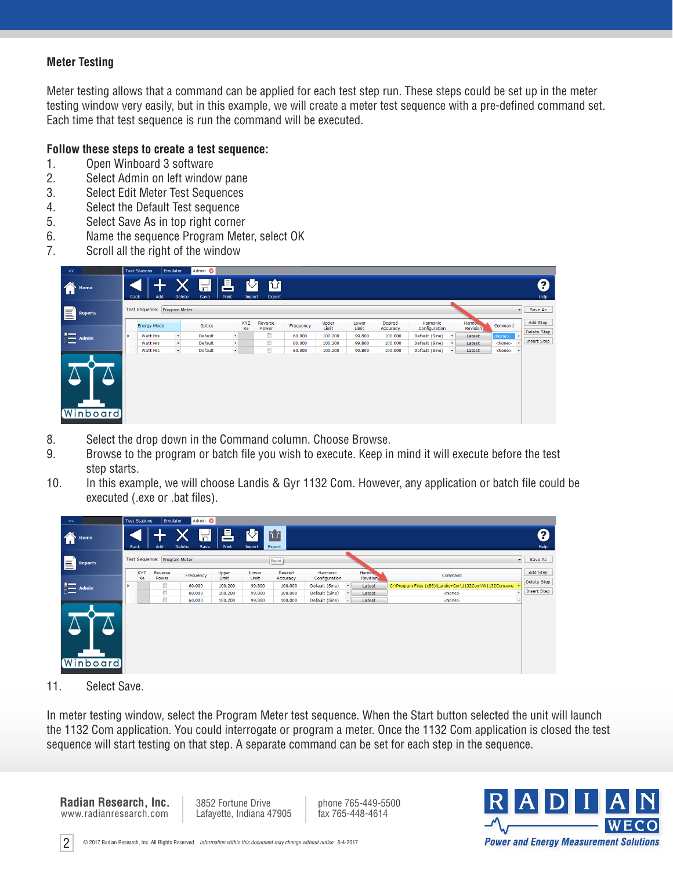# **Meter Testing**

Meter testing allows that a command can be applied for each test step run. These steps could be set up in the meter testing window very easily, but in this example, we will create a meter test sequence with a pre-defined command set. Each time that test sequence is run the command will be executed.

## **Follow these steps to create a test sequence:**

- 1. Open Winboard 3 software
- 2. Select Admin on left window pane
- 3. Select Edit Meter Test Sequences
- 4. Select the Default Test sequence
- 5. Select Save As in top right corner
- 6. Name the sequence Program Meter, select OK
- 7. Scroll all the right of the window

| $<<$                                                                                                                                                                                                                                                                                                                                                |  | <b>Test Stations</b><br><b>Emulator</b>                                                       |              | Admin <sup>8</sup> |              |                  |                       |                     |                           |                          |                                       |                             |           |                            |               |         |                         |
|-----------------------------------------------------------------------------------------------------------------------------------------------------------------------------------------------------------------------------------------------------------------------------------------------------------------------------------------------------|--|-----------------------------------------------------------------------------------------------|--------------|--------------------|--------------|------------------|-----------------------|---------------------|---------------------------|--------------------------|---------------------------------------|-----------------------------|-----------|----------------------------|---------------|---------|-------------------------|
| 合<br>Home                                                                                                                                                                                                                                                                                                                                           |  | 昌<br>价<br>RЛ<br>H<br>Add<br><b>Delete</b><br>Print<br><b>Back</b><br>Save<br>Export<br>Import |              |                    |              |                  |                       |                     |                           |                          |                                       |                             |           |                            |               |         | 0<br>Help               |
| E<br><b>Reports</b>                                                                                                                                                                                                                                                                                                                                 |  | Test Sequence: Program Meter<br>$\mathbf{v}$                                                  |              |                    |              |                  |                       |                     |                           |                          |                                       |                             |           |                            |               | Save As |                         |
|                                                                                                                                                                                                                                                                                                                                                     |  | <b>Energy Mode</b>                                                                            |              | <b>Optics</b>      | $\mathbf{v}$ | <b>KYZ</b><br>Ke | Reverse<br>Power<br>O | Frequency<br>60.000 | Upper<br>Limit<br>100.200 | Lower<br>Limit<br>99.800 | <b>Desired</b><br>Accuracy<br>100.000 | Harmonic<br>Configuration   |           | Harmon.<br><b>Revision</b> | Command       |         | Add Step<br>Delete Step |
| $\begin{picture}(20,5) \put(0,0){\line(1,0){15}} \put(15,0){\line(1,0){15}} \put(15,0){\line(1,0){15}} \put(15,0){\line(1,0){15}} \put(15,0){\line(1,0){15}} \put(15,0){\line(1,0){15}} \put(15,0){\line(1,0){15}} \put(15,0){\line(1,0){15}} \put(15,0){\line(1,0){15}} \put(15,0){\line(1,0){15}} \put(15,0){\line(1,0){15}} \put(15,0){\line(1,$ |  | Watt Hrs                                                                                      | $\mathbf{v}$ | Default            |              |                  |                       |                     |                           |                          |                                       | Default (Sine)<br>$\bullet$ |           | Latest                     | <none></none> |         |                         |
|                                                                                                                                                                                                                                                                                                                                                     |  | Watt Hrs                                                                                      | $\mathbf{v}$ | Default            | $\mathbf{v}$ |                  | E                     | 60.000              | 100.200                   | 99.800                   | 100.000                               | Default (Sine)              | $\bullet$ | Latest                     | <none></none> |         | Insert Step             |
|                                                                                                                                                                                                                                                                                                                                                     |  | Watt Hrs                                                                                      | $\bullet$    | Default            | $\star$      |                  | $\Box$                | 60.000              | 100.200                   | 99.800                   | 100.000                               | Default (Sine)              | $\bullet$ | Latest                     | <none></none> |         |                         |
| <b>Winboard</b>                                                                                                                                                                                                                                                                                                                                     |  |                                                                                               |              |                    |              |                  |                       |                     |                           |                          |                                       |                             |           |                            |               |         |                         |

- 8. Select the drop down in the Command column. Choose Browse.
- 9. Browse to the program or batch file you wish to execute. Keep in mind it will execute before the test step starts.
- 10. In this example, we will choose Landis & Gyr 1132 Com. However, any application or batch file could be executed (.exe or .bat files).

| <<                                                                                                                                                                                                                                                                                                                                                  | Admin <sup>3</sup><br><b>Test Stations</b><br>Emulator |                                                                                                    |                                        |           |                |                |                            |                                  |         |                                       |                                                          |             |  |  |
|-----------------------------------------------------------------------------------------------------------------------------------------------------------------------------------------------------------------------------------------------------------------------------------------------------------------------------------------------------|--------------------------------------------------------|----------------------------------------------------------------------------------------------------|----------------------------------------|-----------|----------------|----------------|----------------------------|----------------------------------|---------|---------------------------------------|----------------------------------------------------------|-------------|--|--|
| Home                                                                                                                                                                                                                                                                                                                                                |                                                        | 昌<br>2<br>内<br>位<br>ត<br>Add<br>Delete<br>Print<br><b>Back</b><br>Save<br>Help<br>Export<br>Import |                                        |           |                |                |                            |                                  |         |                                       |                                                          |             |  |  |
| E<br><b>Reports</b>                                                                                                                                                                                                                                                                                                                                 | Test Sequence: Program Meter<br>$\mathbf{v}$<br>Export |                                                                                                    |                                        |           |                |                |                            |                                  |         |                                       |                                                          |             |  |  |
|                                                                                                                                                                                                                                                                                                                                                     |                                                        | <b>KYZ</b><br>Ke                                                                                   | Reverse<br>Power                       | Frequency | Upper<br>Limit | Lower<br>Limit | <b>Desired</b><br>Accuracy | <b>Harmonic</b><br>Configuration |         | Harmo <sub>r</sub><br><b>Revision</b> | Command                                                  | Add Step    |  |  |
| $\begin{picture}(20,20) \put(0,0){\line(1,0){10}} \put(15,0){\line(1,0){10}} \put(15,0){\line(1,0){10}} \put(15,0){\line(1,0){10}} \put(15,0){\line(1,0){10}} \put(15,0){\line(1,0){10}} \put(15,0){\line(1,0){10}} \put(15,0){\line(1,0){10}} \put(15,0){\line(1,0){10}} \put(15,0){\line(1,0){10}} \put(15,0){\line(1,0){10}} \put(15,0){\line(1$ |                                                        |                                                                                                    | $\qquad \qquad \Box$                   | 60.000    | 100.200        | 99.800         | 100.000                    | Default (Sine)                   | $\star$ | Latest                                | C:\Program Files (x86)\Landis+Gyr\1132Com\W1132Com.exe + | Delete Step |  |  |
|                                                                                                                                                                                                                                                                                                                                                     |                                                        |                                                                                                    | D                                      | 60.000    | 100.200        | 99.800         | 100.000                    | Default (Sine)                   | $\star$ | Latest                                | $<$ None $>$                                             | Insert Step |  |  |
|                                                                                                                                                                                                                                                                                                                                                     |                                                        |                                                                                                    | $\begin{array}{c} \square \end{array}$ | 60.000    | 100.200        | 99.800         | 100.000                    | Default (Sine)                   | $\star$ | Latest                                | $<$ None $>$                                             |             |  |  |
| <b>Winboard</b>                                                                                                                                                                                                                                                                                                                                     |                                                        |                                                                                                    |                                        |           |                |                |                            |                                  |         |                                       |                                                          |             |  |  |

11. Select Save.

In meter testing window, select the Program Meter test sequence. When the Start button selected the unit will launch the 1132 Com application. You could interrogate or program a meter. Once the 1132 Com application is closed the test sequence will start testing on that step. A separate command can be set for each step in the sequence.

www.radianresearch.com **Radian Research, Inc.** 3852 Fortune Drive Lafayette, Indiana 47905

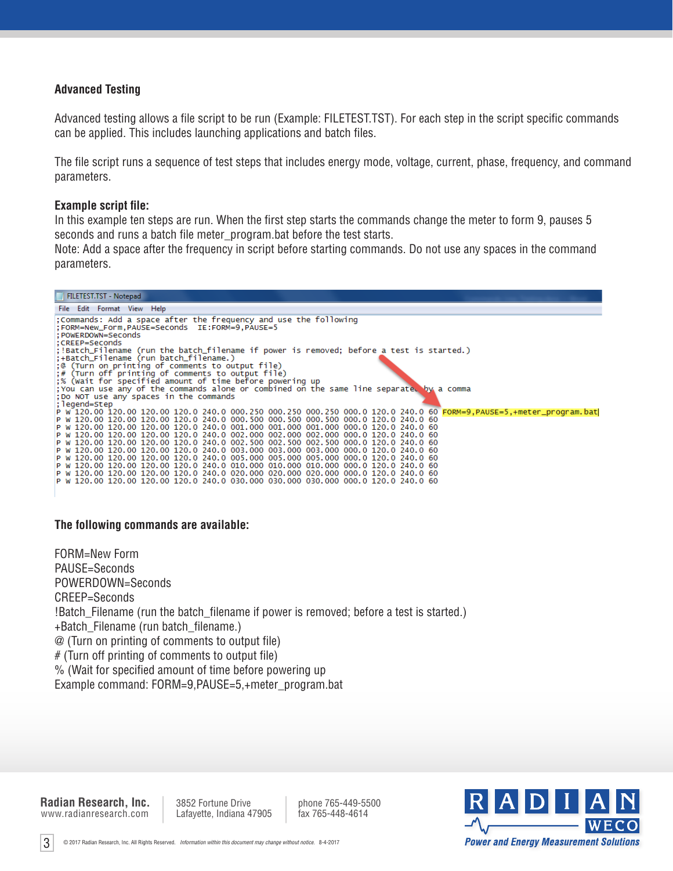## **Advanced Testing**

Advanced testing allows a file script to be run (Example: FILETEST.TST). For each step in the script specific commands can be applied. This includes launching applications and batch files.

The file script runs a sequence of test steps that includes energy mode, voltage, current, phase, frequency, and command parameters.

#### **Example script file:**

In this example ten steps are run. When the first step starts the commands change the meter to form 9, pauses 5 seconds and runs a batch file meter\_program.bat before the test starts.

Note: Add a space after the frequency in script before starting commands. Do not use any spaces in the command parameters.



#### **The following commands are available:**

FORM=New Form PAUSE=Seconds POWERDOWN=Seconds CREEP=Seconds !Batch\_Filename (run the batch\_filename if power is removed; before a test is started.) +Batch\_Filename (run batch\_filename.) @ (Turn on printing of comments to output file) # (Turn off printing of comments to output file) % (Wait for specified amount of time before powering up Example command: FORM=9,PAUSE=5,+meter\_program.bat

www.radianresearch.com **Radian Research, Inc.** 3852 Fortune Drive Lafayette, Indiana 47905